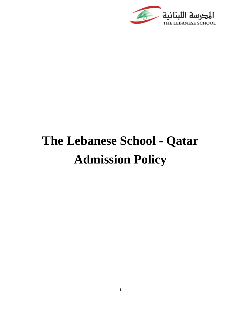

# **The Lebanese School - Qatar Admission Policy**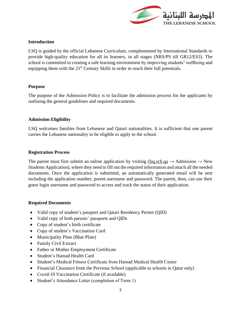

# **Introduction**

LSQ is guided by the official Lebanese Curriculum, complemented by International Standards to provide high-quality education for all its learners, in all stages (NRS/PS till GR12/ES3). The school is committed to creating a safe learning environment by improving students' wellbeing and equipping them with the 21<sup>st</sup> Century Skills in order to reach their full potentials.

#### **Purpose**

The purpose of the Admission Policy is to facilitate the admission process for the applicants by outlining the general guidelines and required documents.

# **Admission Eligibility**

LSQ welcomes families from Lebanese and Qatari nationalities. It is sufficient that one parent carries the Lebanese nationality to be eligible to apply to the school.

# **Registration Process**

The parent must first submit an online application by visiting [\(lsq.sch.qa](file:///C:/Users/97433/Downloads/lsq.sch.qa)  $\rightarrow$  Admission  $\rightarrow$  New Students Application), where they need to fill out the required information and attach all the needed documents. Once the application is submitted, an automatically generated email will be sent including the application number, parent username and password. The parent, then, can use their guest login username and password to access and track the status of their application.

#### **Required Documents**

- Valid copy of student's passport and Qatari Residency Permit (QID)
- Valid copy of both parents' passports and QIDs
- Copy of student's birth certificate
- Copy of student's Vaccination Card
- Municipality Plate (Blue Plate)
- Family Civil Extract
- Father or Mother Employment Certificate
- Student's Hamad Health Card
- Student's Medical Fitness Certificate from Hamad Medical Health Center
- Financial Clearance from the Previous School (applicable to schools in Qatar only)
- Covid-19 Vaccination Certificate (if available)
- Student's Attendance Letter (completion of Term 1)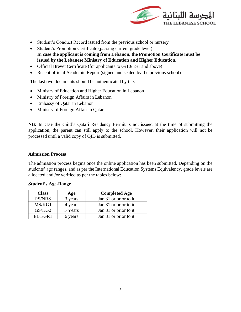

- Student's Conduct Record issued from the previous school or nursery
- Student's Promotion Certificate (passing current grade level) **In case the applicant is coming from Lebanon, the Promotion Certificate must be issued by the Lebanese Ministry of Education and Higher Education.**
- Official Brevet Certificate (for applicants to Gr10/ES1 and above)
- Recent official Academic Report (signed and sealed by the previous school)

The last two documents should be authenticated by the:

- Ministry of Education and Higher Education in Lebanon
- Ministry of Foreign Affairs in Lebanon
- Embassy of Qatar in Lebanon
- Ministry of Foreign Affair in Qatar

**NB:** In case the child's Qatari Residency Permit is not issued at the time of submitting the application, the parent can still apply to the school. However, their application will not be processed until a valid copy of QID is submitted.

#### **Admission Process**

The admission process begins once the online application has been submitted. Depending on the students' age ranges, and as per the International Education Systems Equivalency, grade levels are allocated and /or verified as per the tables below:

| <b>Class</b>  | Age     | <b>Completed Age</b>  |
|---------------|---------|-----------------------|
| <b>PS/NRS</b> | 3 years | Jan 31 or prior to it |
| MS/KG1        | 4 years | Jan 31 or prior to it |
| GS/KG2        | 5 Years | Jan 31 or prior to it |
| EB1/GR1       | 6 years | Jan 31 or prior to it |

#### **Student's Age-Range**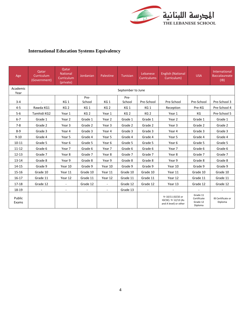

# **International Education Systems Equivalency**

| Age              | Qatar<br>Curriculum<br>(Government) | <b>Oatar</b><br><b>National</b><br>Curriculum<br>(private) | Jordanian       | Palestine       | Tunisian        | Lebanese<br><b>Curriculums</b> | <b>English (National</b><br>Curriculum)                            | <b>USA</b>                                     | International<br><b>Baccalaureate</b><br>(IB) |  |
|------------------|-------------------------------------|------------------------------------------------------------|-----------------|-----------------|-----------------|--------------------------------|--------------------------------------------------------------------|------------------------------------------------|-----------------------------------------------|--|
| Academic<br>Year | September to June                   |                                                            |                 |                 |                 |                                |                                                                    |                                                |                                               |  |
| $3 - 4$          | $\mathcal{L}_{\mathcal{A}}$         | KG <sub>1</sub>                                            | Pre-<br>School  | KG <sub>1</sub> | Pre-<br>School  | Pre-School                     | Pre-School                                                         | Pre-School                                     | Pre-School 3                                  |  |
| $4 - 5$          | Rawda KG1                           | KG <sub>2</sub>                                            | KG <sub>1</sub> | KG <sub>2</sub> | KG <sub>1</sub> | KG <sub>1</sub>                | Reception                                                          | Pre-KG                                         | Pre-School 4                                  |  |
| $5-6$            | Tamhidi KG2                         | Year 1                                                     | KG <sub>2</sub> | Year 1          | KG <sub>2</sub> | KG <sub>2</sub>                | Year 1                                                             | KG                                             | Pre-School 5                                  |  |
| $6 - 7$          | Grade 1                             | Year 2                                                     | Grade 1         | Year 2          | Grade 1         | Grade 1                        | Year 2                                                             | Grade 1                                        | Grade 1                                       |  |
| $7 - 8$          | Grade 2                             | Year 3                                                     | Grade 2         | Year 3          | Grade 2         | Grade 2                        | Year 3                                                             | Grade 2                                        | Grade 2                                       |  |
| $8 - 9$          | Grade 3                             | Year 4                                                     | Grade 3         | Year 4          | Grade 3         | Grade 3                        | Year 4                                                             | Grade 3                                        | Grade 3                                       |  |
| $9 - 10$         | Grade 4                             | Year 5                                                     | Grade 4         | Year 5          | Grade 4         | Grade 4                        | Year 5                                                             | Grade 4                                        | Grade 4                                       |  |
| $10 - 11$        | Grade 5                             | Year 6                                                     | Grade 5         | Year 6          | Grade 5         | Grade 5                        | Year 6                                                             | Grade 5                                        | Grade 5                                       |  |
| $11 - 12$        | Grade 6                             | Year 7                                                     | Grade 6         | Year 7          | Grade 6         | Grade 6                        | Year 7                                                             | Grade 6                                        | Grade 6                                       |  |
| $12 - 13$        | Grade 7                             | Year 8                                                     | Grade 7         | Year 8          | Grade 7         | Grade 7                        | Year 8                                                             | Grade 7                                        | Grade 7                                       |  |
| $13 - 14$        | Grade 8                             | Year 9                                                     | Grade 8         | Year 9          | Grade 8         | Grade 8                        | Year 9                                                             | Grade 8                                        | Grade 8                                       |  |
| 14-15            | Grade 9                             | Year 10                                                    | Grade 9         | Year 10         | Grade 9         | Grade 9                        | Year 10                                                            | Grade 9                                        | Grade 9                                       |  |
| 15-16            | Grade 10                            | Year 11                                                    | Grade 10        | Year 11         | Grade 10        | Grade 10                       | Year 11                                                            | Grade 10                                       | Grade 10                                      |  |
| $16-17$          | Grade 11                            | Year 12                                                    | Grade 11        | Year 12         | Grade 11        | Grade 11                       | Year 12                                                            | Grade 11                                       | Grade 11                                      |  |
| 17-18            | Grade 12                            | $\blacksquare$                                             | Grade 12        | $\blacksquare$  | Grade 12        | Grade 12                       | Year 13                                                            | Grade 12                                       | Grade 12                                      |  |
| 18-19            |                                     | $\blacksquare$                                             |                 | $\blacksquare$  | Grade 13        |                                |                                                                    |                                                |                                               |  |
| Public<br>Exams  |                                     |                                                            |                 |                 |                 |                                | Yr 10/11 (GCSE or<br>IGCSE). Yr 12/13 (As<br>and A level) or other | Grade 11<br>Certificate<br>Grade 12<br>Diploma | IB Certificate or<br>Diploma                  |  |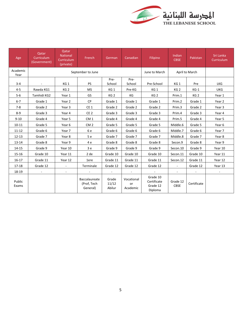

| Age              | Qatar<br>Curriculum<br>(Government) | Qatar<br><b>National</b><br>Curriculum<br>(private) | French                                   | German                   | Canadian                     | Filipino                                       | Indian<br><b>CBSE</b>   | Pakistan        | Sri Lanka<br>Curriculum |
|------------------|-------------------------------------|-----------------------------------------------------|------------------------------------------|--------------------------|------------------------------|------------------------------------------------|-------------------------|-----------------|-------------------------|
| Academic<br>Year |                                     | June to March                                       | April to March                           |                          |                              |                                                |                         |                 |                         |
| $3 - 4$          |                                     | KG <sub>1</sub>                                     | <b>PS</b>                                | Pre-<br>School           | Pre-<br>School               | Pre-School                                     | KG 1                    | Pre             | <b>LKG</b>              |
| $4 - 5$          | Rawda KG1                           | KG <sub>2</sub>                                     | <b>MS</b>                                | KG <sub>1</sub>          | Pre-KG                       | KG <sub>1</sub>                                | KG <sub>2</sub>         | $KG-1$          | <b>UKG</b>              |
| $5-6$            | Tamhidi KG2                         | Year 1                                              | <b>GS</b>                                | KG <sub>2</sub>          | KG                           | KG <sub>2</sub>                                | Prim.1                  | KG <sub>2</sub> | Year 1                  |
| $6 - 7$          | Grade 1                             | Year 2                                              | <b>CP</b>                                | Grade 1                  | Grade 1                      | Grade 1                                        | Prim.2                  | Grade 1         | Year 2                  |
| $7 - 8$          | Grade 2                             | Year 3                                              | CE <sub>1</sub>                          | Grade 2                  | Grade 2                      | Grade 2                                        | Prim.3                  | Grade 2         | Year 3                  |
| $8 - 9$          | Grade 3                             | Year 4                                              | CE <sub>2</sub>                          | Grade 3                  | Grade 3                      | Grade 3                                        | Prim.4                  | Grade 3         | Year 4                  |
| $9 - 10$         | Grade 4                             | Year 5                                              | CM <sub>1</sub>                          | Grade 4                  | Grade 4                      | Grade 4                                        | Prim.5                  | Grade 4         | Year 5                  |
| $10 - 11$        | Grade 5                             | Year 6                                              | CM <sub>2</sub>                          | Grade 5                  | Grade 5                      | Grade 5                                        | Middle.6                | Grade 5         | Year 6                  |
| $11 - 12$        | Grade 6                             | Year 7                                              | 6 e                                      | Grade 6                  | Grade 6                      | Grade 6                                        | Middle.7                | Grade 6         | Year 7                  |
| $12 - 13$        | Grade 7                             | Year 8                                              | 5e                                       | Grade 7                  | Grade 7                      | Grade 7                                        | Middle.8                | Grade 7         | Year 8                  |
| $13 - 14$        | Grade 8                             | Year 9                                              | 4 e                                      | Grade 8                  | Grade 8                      | Grade 8                                        | Secon.9                 | Grade 8         | Year 9                  |
| 14-15            | Grade 9                             | Year 10                                             | 3e                                       | Grade 9                  | Grade 9                      | Grade 9                                        | Secon.10                | Grade 9         | Year 10                 |
| 15-16            | Grade 10                            | Year 11                                             | 2 de                                     | Grade 10                 | Grade 10                     | Grade 10                                       | Secon.11                | Grade 10        | Year 11                 |
| $16-17$          | Grade 11                            | Year 12                                             | 1ere                                     | Grade 11                 | Grade 11                     | Grade 11                                       | Secon.12                | Grade 11        | Year 12                 |
| $17 - 18$        | Grade 12                            | $\blacksquare$                                      | Terminale                                | Grade 12                 | Grade 12                     | Grade 12                                       |                         | Grade 12        | Year 13                 |
| 18-19            |                                     | $\sim$                                              |                                          |                          |                              | $\sim$                                         |                         |                 |                         |
| Public<br>Exams  |                                     |                                                     | Baccalaureate<br>(Prof, Tech<br>General) | Grade<br>11/12<br>Abilur | Vocational<br>or<br>Academic | Grade 10<br>Certificate<br>Grade 12<br>Diploma | Grade 12<br><b>CBSE</b> | Certificate     |                         |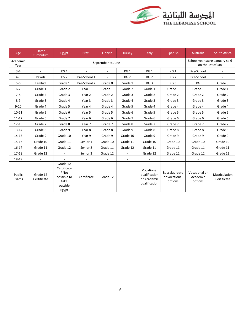

| Age              | Qatar<br>Curriculum     | Egypt                                                                       | <b>Brazil</b> | <b>Finnish</b>           | Turkey          | Italy                                                       | Spanish                                   | Australia                            | <b>South Africa</b>                                  |  |
|------------------|-------------------------|-----------------------------------------------------------------------------|---------------|--------------------------|-----------------|-------------------------------------------------------------|-------------------------------------------|--------------------------------------|------------------------------------------------------|--|
| Academic<br>Year | September to June       |                                                                             |               |                          |                 |                                                             |                                           |                                      | School year starts January so 6<br>on the 1st of Jan |  |
| $3 - 4$          | $\sim$                  | KG <sub>1</sub>                                                             | $\sim$        | $\overline{\phantom{a}}$ | KG <sub>1</sub> | KG 1                                                        | KG1                                       | Pre-School                           | $\blacksquare$                                       |  |
| $4 - 5$          | Rawda                   | KG <sub>2</sub>                                                             | Pre-School 1  |                          | KG <sub>2</sub> | KG <sub>2</sub>                                             | KG <sub>2</sub>                           | Pre-School                           |                                                      |  |
| $5-6$            | Tamhidi                 | Grade 1                                                                     | Pre-School 2  | Grade 0                  | Grade 1         | KG <sub>3</sub>                                             | KG <sub>3</sub>                           | КG                                   | Grade 0                                              |  |
| $6-7$            | Grade 1                 | Grade 2                                                                     | Year 1        | Grade 1                  | Grade 2         | Grade 1                                                     | Grade 1                                   | Grade 1                              | Grade 1                                              |  |
| $7 - 8$          | Grade 2                 | Grade 3                                                                     | Year 2        | Grade 2                  | Grade 3         | Grade 2                                                     | Grade 2                                   | Grade 2                              | Grade 2                                              |  |
| $8 - 9$          | Grade 3                 | Grade 4                                                                     | Year 3        | Grade 3                  | Grade 4         | Grade 3                                                     | Grade 3                                   | Grade 3                              | Grade 3                                              |  |
| $9 - 10$         | Grade 4                 | Grade 5                                                                     | Year 4        | Grade 4                  | Grade 5         | Grade 4                                                     | Grade 4                                   | Grade 4                              | Grade 4                                              |  |
| $10 - 11$        | Grade 5                 | Grade 6                                                                     | Year 5        | Grade 5                  | Grade 6         | Grade 5                                                     | Grade 5                                   | Grade 5                              | Grade 5                                              |  |
| $11 - 12$        | Grade 6                 | Grade 7                                                                     | Year 6        | Grade 6                  | Grade 7         | Grade 6                                                     | Grade 6                                   | Grade 6                              | Grade 6                                              |  |
| $12 - 13$        | Grade 7                 | Grade 8                                                                     | Year 7        | Grade 7                  | Grade 8         | Grade 7                                                     | Grade 7                                   | Grade 7                              | Grade 7                                              |  |
| $13 - 14$        | Grade 8                 | Grade 9                                                                     | Year 8        | Grade 8                  | Grade 9         | Grade 8                                                     | Grade 8                                   | Grade 8                              | Grade 8                                              |  |
| 14-15            | Grade 9                 | Grade 10                                                                    | Year 9        | Grade 9                  | Grade 10        | Grade 9                                                     | Grade 9                                   | Grade 9                              | Grade 9                                              |  |
| $15 - 16$        | Grade 10                | Grade 11                                                                    | Senior 1      | Grade 10                 | Grade 11        | Grade 10                                                    | Grade 10                                  | Grade 10                             | Grade 10                                             |  |
| $16 - 17$        | Grade 11                | Grade 12                                                                    | Senior 2      | Grade 11                 | Grade 12        | Grade 11                                                    | Grade 11                                  | Grade 11                             | Grade 11                                             |  |
| 17-18            | Grade 12                |                                                                             | Senior 3      | Grade 12                 |                 | Grade 12                                                    | Grade 12                                  | Grade 12                             | Grade 12                                             |  |
| 18-19            |                         |                                                                             |               | $\overline{\phantom{a}}$ | ä,              |                                                             |                                           |                                      |                                                      |  |
| Public<br>Exams  | Grade 12<br>Certificate | Grade 12<br>Certificate<br>/ Not<br>possible to<br>take<br>outside<br>Egypt | Certificate   | Grade 12                 |                 | Vocational<br>qualification<br>or Academic<br>qualification | Baccalaureate<br>or vocational<br>options | Vocational or<br>Academic<br>options | Matriculation<br>Certificate                         |  |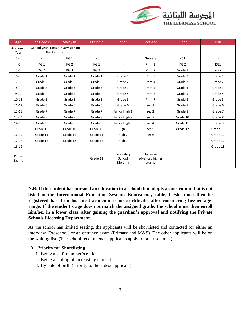

| Age              | <b>Bangladesh</b>                                    | Malaysia        | Ethiopia        | Japan                          | Scotland                              | Sudan                    | <b>Iran</b>     |
|------------------|------------------------------------------------------|-----------------|-----------------|--------------------------------|---------------------------------------|--------------------------|-----------------|
| Academic<br>Year | School year starts January so 6 on<br>the 1st of Jan |                 |                 |                                |                                       |                          |                 |
| $3 - 4$          |                                                      | KG <sub>1</sub> |                 |                                | Nursery                               | KG1                      |                 |
| $4 - 5$          | KG <sub>1</sub>                                      | KG <sub>2</sub> | KG <sub>1</sub> |                                | Prim.1                                | KG <sub>2</sub>          | KG1             |
| $5-6$            | KG <sub>2</sub>                                      | KG <sub>3</sub> | KG <sub>2</sub> |                                | Prim.2                                | Grade 1                  | KG <sub>2</sub> |
| $6 - 7$          | Grade 1                                              | Grade 1         | Grade 1         | Grade 1                        | Prim.3                                | Grade 2                  | Grade 1         |
| $7-8$            | Grade 2                                              | Grade 2         | Grade 2         | Grade 2                        | Prim.4                                | Grade 3                  | Grade 2         |
| $8 - 9$          | Grade 3                                              | Grade 3         | Grade 3         | Grade 3                        | Prim.5                                | Grade 4                  | Grade 3         |
| $9 - 10$         | Grade 4                                              | Grade 4         | Grade 4         | Grade 4                        | Prim.6                                | Grade 5                  | Grade 4         |
| $10 - 11$        | Grade 5                                              | Grade 5         | Grade 5         | Grade 5                        | Prim.7                                | Grade 6                  | Grade 5         |
| $11 - 12$        | Grade 6                                              | Grade 6         | Grade 6         | Grade 6                        | sec.1                                 | Grade 7                  | Grade 6         |
| $12 - 13$        | Grade 7                                              | Grade 7         | Grade 7         | Junior High 1                  | sec.2                                 | Grade 8                  | Grade 7         |
| $13 - 14$        | Grade 8                                              | Grade 8         | Grade 8         | Junior High 2                  | sec.3                                 | Grade 10                 | Grade 8         |
| 14-15            | Grade 9                                              | Grade 9         | Grade 9         | Junior High 3                  | sec.4                                 | Grade 11                 | Grade 9         |
| 15-16            | Grade 10                                             | Grade 10        | Grade 10        | High 1                         | sec.5                                 | Grade 12                 | Grade 10        |
| $16 - 17$        | Grade 11                                             | Grade 11        | Grade 11        | High 2                         | sec.6                                 |                          | Grade 11        |
| $17 - 18$        | Grade 12                                             | Grade 12        | Grade 12        | High 3                         | $\overline{\phantom{a}}$              | $\overline{\phantom{a}}$ | Grade 12        |
| 18-19            |                                                      |                 |                 |                                |                                       |                          | Grade 13        |
| Public<br>Exams  |                                                      |                 | Grade 12        | Secondary<br>School<br>Diploma | Higher or<br>advanced higher<br>exams |                          |                 |

**N.B: If the student has pursued an education in a school that adopts a curriculum that is not listed in the International Education Systems Equivalency table, he/she must then be registered based on his latest academic report/certificate, after considering his/her agerange. If the student's age does not match the assigned grade, the school must then enroll him/her in a lower class, after gaining the guardian's approval and notifying the Private Schools Licensing Department.**

As the school has limited seating, the applicants will be shortlisted and contacted for either an interview (Preschool) or an entrance exam (Primary and M&S). The other applicants will be on the waiting list. (The school recommends applicants apply to other schools.).

#### **A. Priority for Shortlisting**

- 1. Being a staff member's child
- 2. Being a sibling of an existing student
- 3. By date of birth (priority to the eldest applicant)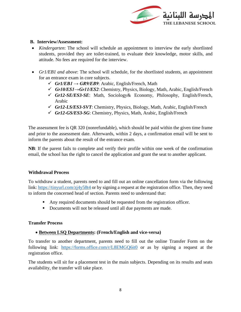

#### **B. Interview/Assessment:**

- *Kindergarten*: The school will schedule an appointment to interview the early shortlisted students, provided they are toilet-trained, to evaluate their knowledge, motor skills, and attitude. No fees are required for the interview.
- *Gr1/EB1 and above*: The school will schedule, for the shortlisted students, an appointment for an entrance exam in core subjects.
	- $\checkmark$  *Gr1/EB1*  $\rightarrow$  *GR9/EB9*: Arabic, English/French, Math
	- ✓ *Gr10/ES1→Gr11/ES2*: Chemistry, Physics, Biology, Math, Arabic, English/French
	- ✓ *Gr12-SE/ES3-SE*: Math, Sociology& Economy, Philosophy, English/French, Arabic
	- ✓ *Gr12-LS/ES3-SVT*: Chemistry, Physics, Biology, Math, Arabic, English/French
	- ✓ *Gr12-GS/ES3-SG*: Chemistry, Physics, Math, Arabic, English/French

The assessment fee is QR 320 (nonrefundable), which should be paid within the given time frame and prior to the assessment date. Afterwards, within 2 days, a confirmation email will be sent to inform the parents about the result of the entrance exam.

**NB**: If the parent fails to complete and verify their profile within one week of the confirmation email, the school has the right to cancel the application and grant the seat to another applicant.

#### **Withdrawal Process**

To withdraw a student, parents need to and fill out an online cancellation form via the following link[: https://tinyurl.com/zj4y58t4](https://tinyurl.com/zj4y58t4) or by signing a request at the registration office. Then, they need to inform the concerned head of section. Parents need to understand that:

- Any required documents should be requested from the registration officer.
- Documents will not be released until all due payments are made.

# **Transfer Process**

# • **Between LSQ Departments: (French/English and vice-versa)**

To transfer to another department, parents need to fill out the online Transfer Form on the following link: <https://forms.office.com/r/L8EMGQ6it0> or as by signing a request at the registration office.

The students will sit for a placement test in the main subjects. Depending on its results and seats availability, the transfer will take place.